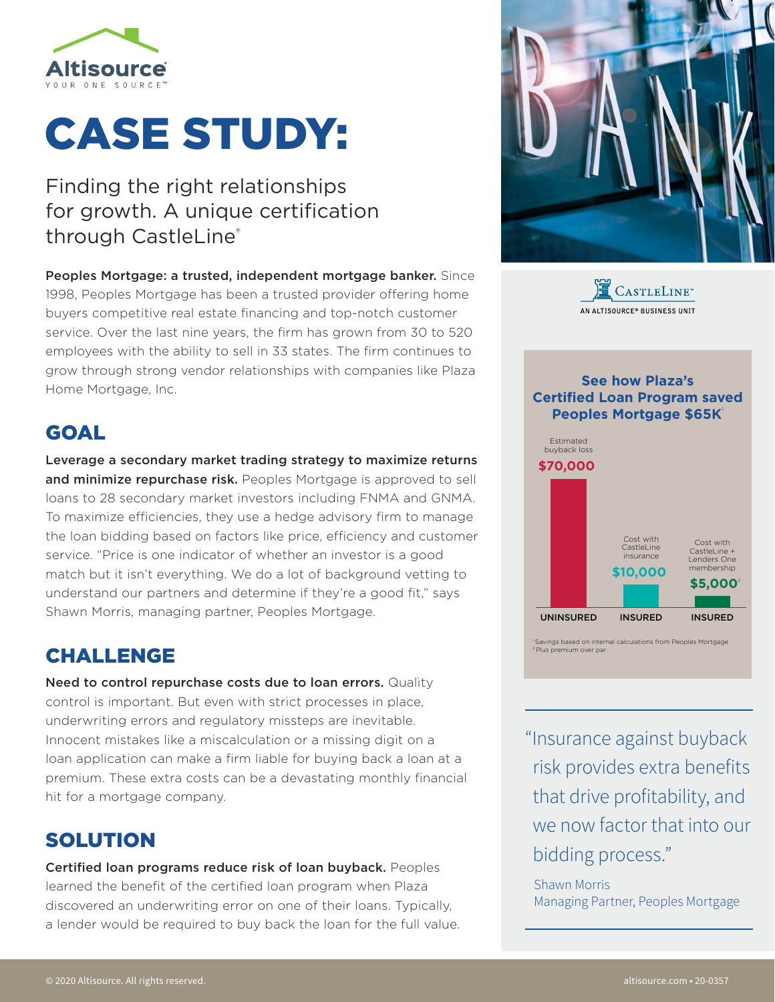

# CASE STUDY:

## Finding the right relationships for growth. A unique certification through CastleLine®

Peoples Mortgage: a trusted, independent mortgage banker. Since 1998, Peoples Mortgage has been a trusted provider offering home buyers competitive real estate financing and top-notch customer service. Over the last nine years, the firm has grown from 30 to 520 employees with the ability to sell in 33 states. The firm continues to grow through strong vendor relationships with companies like Plaza Home Mortgage, Inc.

### GOAL

Leverage a secondary market trading strategy to maximize returns and minimize repurchase risk. Peoples Mortgage is approved to sell loans to 28 secondary market investors including FNMA and GNMA. To maximize efficiencies, they use a hedge advisory firm to manage the loan bidding based on factors like price, efficiency and customer service. "Price is one indicator of whether an investor is a good match but it isn't everything. We do a lot of background vetting to understand our partners and determine if they're a good fit," says Shawn Morris, managing partner, Peoples Mortgage.

#### CHALLENGE

Need to control repurchase costs due to loan errors. Quality control is important. But even with strict processes in place, underwriting errors and regulatory missteps are inevitable. Innocent mistakes like a miscalculation or a missing digit on a loan application can make a firm liable for buying back a loan at a premium. These extra costs can be a devastating monthly financial hit for a mortgage company.

### SOLUTION

Certified loan programs reduce risk of loan buyback. Peoples learned the benefit of the certified loan program when Plaza discovered an underwriting error on one of their loans. Typically, a lender would be required to buy back the loan for the full value.



![](_page_0_Picture_11.jpeg)

#### **See how Plaza's Certified Loan Program saved Peoples Mortgage \$65K**

![](_page_0_Figure_13.jpeg)

"Insurance against buyback risk provides extra benefits that drive profitability, and we now factor that into our bidding process."

Shawn Morris Managing Partner, Peoples Mortgage